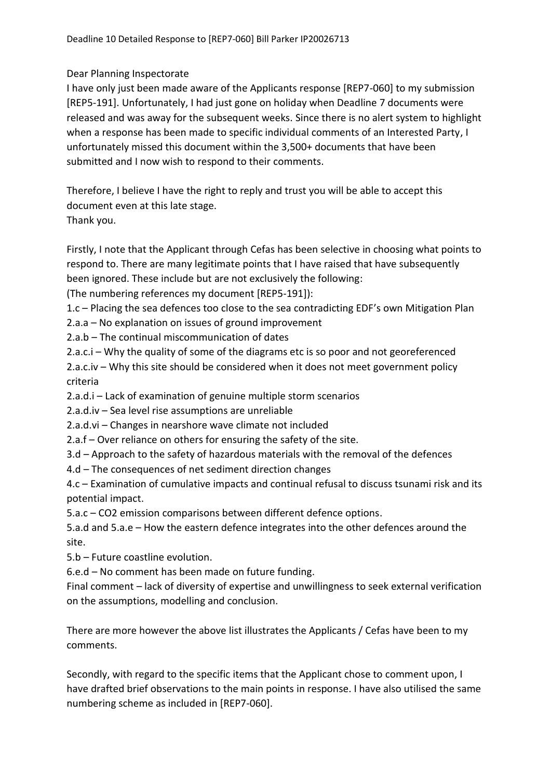## Dear Planning Inspectorate

I have only just been made aware of the Applicants response [REP7-060] to my submission [REP5-191]. Unfortunately, I had just gone on holiday when Deadline 7 documents were released and was away for the subsequent weeks. Since there is no alert system to highlight when a response has been made to specific individual comments of an Interested Party, I unfortunately missed this document within the 3,500+ documents that have been submitted and I now wish to respond to their comments.

Therefore, I believe I have the right to reply and trust you will be able to accept this document even at this late stage. Thank you.

Firstly, I note that the Applicant through Cefas has been selective in choosing what points to respond to. There are many legitimate points that I have raised that have subsequently been ignored. These include but are not exclusively the following:

(The numbering references my document [REP5-191]):

1.c – Placing the sea defences too close to the sea contradicting EDF's own Mitigation Plan

2.a.a – No explanation on issues of ground improvement

2.a.b – The continual miscommunication of dates

2.a.c.i – Why the quality of some of the diagrams etc is so poor and not georeferenced

2.a.c.iv – Why this site should be considered when it does not meet government policy criteria

2.a.d.i – Lack of examination of genuine multiple storm scenarios

2.a.d.iv – Sea level rise assumptions are unreliable

2.a.d.vi – Changes in nearshore wave climate not included

2.a.f – Over reliance on others for ensuring the safety of the site.

3.d – Approach to the safety of hazardous materials with the removal of the defences

4.d – The consequences of net sediment direction changes

4.c – Examination of cumulative impacts and continual refusal to discuss tsunami risk and its potential impact.

5.a.c – CO2 emission comparisons between different defence options.

5.a.d and 5.a.e – How the eastern defence integrates into the other defences around the site.

5.b – Future coastline evolution.

6.e.d – No comment has been made on future funding.

Final comment – lack of diversity of expertise and unwillingness to seek external verification on the assumptions, modelling and conclusion.

There are more however the above list illustrates the Applicants / Cefas have been to my comments.

Secondly, with regard to the specific items that the Applicant chose to comment upon, I have drafted brief observations to the main points in response. I have also utilised the same numbering scheme as included in [REP7-060].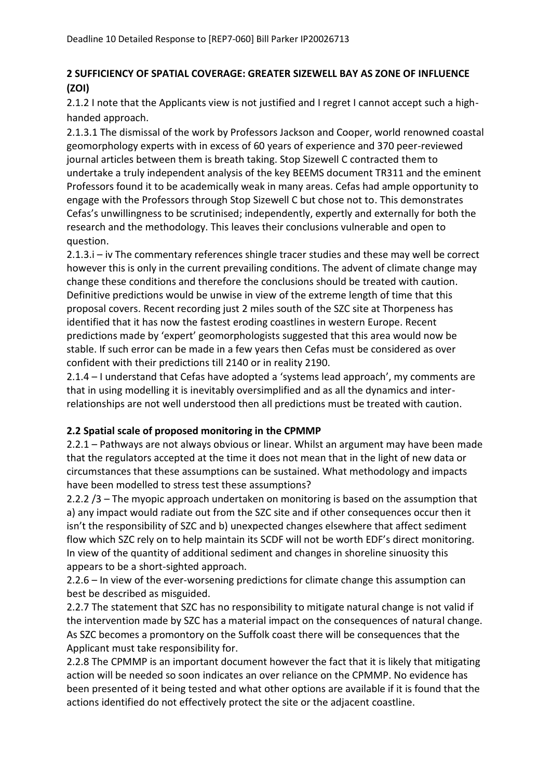# **2 SUFFICIENCY OF SPATIAL COVERAGE: GREATER SIZEWELL BAY AS ZONE OF INFLUENCE (ZOI)**

2.1.2 I note that the Applicants view is not justified and I regret I cannot accept such a highhanded approach.

2.1.3.1 The dismissal of the work by Professors Jackson and Cooper, world renowned coastal geomorphology experts with in excess of 60 years of experience and 370 peer-reviewed journal articles between them is breath taking. Stop Sizewell C contracted them to undertake a truly independent analysis of the key BEEMS document TR311 and the eminent Professors found it to be academically weak in many areas. Cefas had ample opportunity to engage with the Professors through Stop Sizewell C but chose not to. This demonstrates Cefas's unwillingness to be scrutinised; independently, expertly and externally for both the research and the methodology. This leaves their conclusions vulnerable and open to question.

2.1.3.i – iv The commentary references shingle tracer studies and these may well be correct however this is only in the current prevailing conditions. The advent of climate change may change these conditions and therefore the conclusions should be treated with caution. Definitive predictions would be unwise in view of the extreme length of time that this proposal covers. Recent recording just 2 miles south of the SZC site at Thorpeness has identified that it has now the fastest eroding coastlines in western Europe. Recent predictions made by 'expert' geomorphologists suggested that this area would now be stable. If such error can be made in a few years then Cefas must be considered as over confident with their predictions till 2140 or in reality 2190.

2.1.4 – I understand that Cefas have adopted a 'systems lead approach', my comments are that in using modelling it is inevitably oversimplified and as all the dynamics and interrelationships are not well understood then all predictions must be treated with caution.

## **2.2 Spatial scale of proposed monitoring in the CPMMP**

2.2.1 – Pathways are not always obvious or linear. Whilst an argument may have been made that the regulators accepted at the time it does not mean that in the light of new data or circumstances that these assumptions can be sustained. What methodology and impacts have been modelled to stress test these assumptions?

2.2.2 /3 – The myopic approach undertaken on monitoring is based on the assumption that a) any impact would radiate out from the SZC site and if other consequences occur then it isn't the responsibility of SZC and b) unexpected changes elsewhere that affect sediment flow which SZC rely on to help maintain its SCDF will not be worth EDF's direct monitoring. In view of the quantity of additional sediment and changes in shoreline sinuosity this appears to be a short-sighted approach.

2.2.6 – In view of the ever-worsening predictions for climate change this assumption can best be described as misguided.

2.2.7 The statement that SZC has no responsibility to mitigate natural change is not valid if the intervention made by SZC has a material impact on the consequences of natural change. As SZC becomes a promontory on the Suffolk coast there will be consequences that the Applicant must take responsibility for.

2.2.8 The CPMMP is an important document however the fact that it is likely that mitigating action will be needed so soon indicates an over reliance on the CPMMP. No evidence has been presented of it being tested and what other options are available if it is found that the actions identified do not effectively protect the site or the adjacent coastline.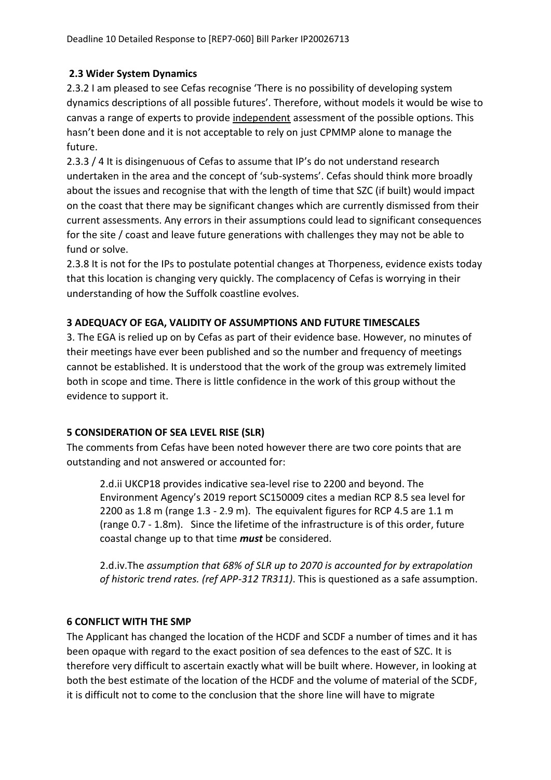## **2.3 Wider System Dynamics**

2.3.2 I am pleased to see Cefas recognise 'There is no possibility of developing system dynamics descriptions of all possible futures'. Therefore, without models it would be wise to canvas a range of experts to provide independent assessment of the possible options. This hasn't been done and it is not acceptable to rely on just CPMMP alone to manage the future.

2.3.3 / 4 It is disingenuous of Cefas to assume that IP's do not understand research undertaken in the area and the concept of 'sub-systems'. Cefas should think more broadly about the issues and recognise that with the length of time that SZC (if built) would impact on the coast that there may be significant changes which are currently dismissed from their current assessments. Any errors in their assumptions could lead to significant consequences for the site / coast and leave future generations with challenges they may not be able to fund or solve.

2.3.8 It is not for the IPs to postulate potential changes at Thorpeness, evidence exists today that this location is changing very quickly. The complacency of Cefas is worrying in their understanding of how the Suffolk coastline evolves.

## **3 ADEQUACY OF EGA, VALIDITY OF ASSUMPTIONS AND FUTURE TIMESCALES**

3. The EGA is relied up on by Cefas as part of their evidence base. However, no minutes of their meetings have ever been published and so the number and frequency of meetings cannot be established. It is understood that the work of the group was extremely limited both in scope and time. There is little confidence in the work of this group without the evidence to support it.

## **5 CONSIDERATION OF SEA LEVEL RISE (SLR)**

The comments from Cefas have been noted however there are two core points that are outstanding and not answered or accounted for:

2.d.ii UKCP18 provides indicative sea-level rise to 2200 and beyond. The Environment Agency's 2019 report SC150009 cites a median RCP 8.5 sea level for 2200 as 1.8 m (range 1.3 - 2.9 m). The equivalent figures for RCP 4.5 are 1.1 m (range 0.7 - 1.8m). Since the lifetime of the infrastructure is of this order, future coastal change up to that time *must* be considered.

2.d.iv.The *assumption that 68% of SLR up to 2070 is accounted for by extrapolation of historic trend rates. (ref APP-312 TR311)*. This is questioned as a safe assumption.

## **6 CONFLICT WITH THE SMP**

The Applicant has changed the location of the HCDF and SCDF a number of times and it has been opaque with regard to the exact position of sea defences to the east of SZC. It is therefore very difficult to ascertain exactly what will be built where. However, in looking at both the best estimate of the location of the HCDF and the volume of material of the SCDF, it is difficult not to come to the conclusion that the shore line will have to migrate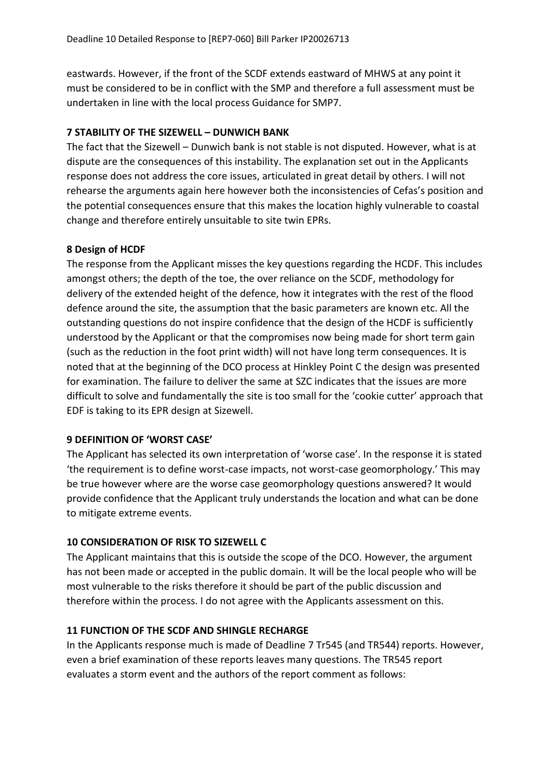eastwards. However, if the front of the SCDF extends eastward of MHWS at any point it must be considered to be in conflict with the SMP and therefore a full assessment must be undertaken in line with the local process Guidance for SMP7.

## **7 STABILITY OF THE SIZEWELL – DUNWICH BANK**

The fact that the Sizewell – Dunwich bank is not stable is not disputed. However, what is at dispute are the consequences of this instability. The explanation set out in the Applicants response does not address the core issues, articulated in great detail by others. I will not rehearse the arguments again here however both the inconsistencies of Cefas's position and the potential consequences ensure that this makes the location highly vulnerable to coastal change and therefore entirely unsuitable to site twin EPRs.

## **8 Design of HCDF**

The response from the Applicant misses the key questions regarding the HCDF. This includes amongst others; the depth of the toe, the over reliance on the SCDF, methodology for delivery of the extended height of the defence, how it integrates with the rest of the flood defence around the site, the assumption that the basic parameters are known etc. All the outstanding questions do not inspire confidence that the design of the HCDF is sufficiently understood by the Applicant or that the compromises now being made for short term gain (such as the reduction in the foot print width) will not have long term consequences. It is noted that at the beginning of the DCO process at Hinkley Point C the design was presented for examination. The failure to deliver the same at SZC indicates that the issues are more difficult to solve and fundamentally the site is too small for the 'cookie cutter' approach that EDF is taking to its EPR design at Sizewell.

## **9 DEFINITION OF 'WORST CASE'**

The Applicant has selected its own interpretation of 'worse case'. In the response it is stated 'the requirement is to define worst-case impacts, not worst-case geomorphology.' This may be true however where are the worse case geomorphology questions answered? It would provide confidence that the Applicant truly understands the location and what can be done to mitigate extreme events.

## **10 CONSIDERATION OF RISK TO SIZEWELL C**

The Applicant maintains that this is outside the scope of the DCO. However, the argument has not been made or accepted in the public domain. It will be the local people who will be most vulnerable to the risks therefore it should be part of the public discussion and therefore within the process. I do not agree with the Applicants assessment on this.

## **11 FUNCTION OF THE SCDF AND SHINGLE RECHARGE**

In the Applicants response much is made of Deadline 7 Tr545 (and TR544) reports. However, even a brief examination of these reports leaves many questions. The TR545 report evaluates a storm event and the authors of the report comment as follows: